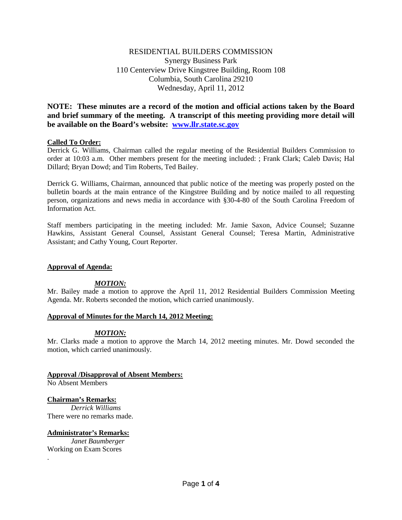# RESIDENTIAL BUILDERS COMMISSION Synergy Business Park 110 Centerview Drive Kingstree Building, Room 108 Columbia, South Carolina 29210 Wednesday, April 11, 2012

**NOTE: These minutes are a record of the motion and official actions taken by the Board and brief summary of the meeting. A transcript of this meeting providing more detail will be available on the Board's website: [www.llr.state.sc.gov](http://www.llr.state.sc.gov/)**

# **Called To Order:**

Derrick G. Williams, Chairman called the regular meeting of the Residential Builders Commission to order at 10:03 a.m. Other members present for the meeting included: ; Frank Clark; Caleb Davis; Hal Dillard; Bryan Dowd; and Tim Roberts, Ted Bailey.

Derrick G. Williams, Chairman, announced that public notice of the meeting was properly posted on the bulletin boards at the main entrance of the Kingstree Building and by notice mailed to all requesting person, organizations and news media in accordance with §30-4-80 of the South Carolina Freedom of Information Act.

Staff members participating in the meeting included: Mr. Jamie Saxon, Advice Counsel; Suzanne Hawkins, Assistant General Counsel, Assistant General Counsel; Teresa Martin, Administrative Assistant; and Cathy Young, Court Reporter.

# **Approval of Agenda:**

# *MOTION:*

Mr. Bailey made a motion to approve the April 11, 2012 Residential Builders Commission Meeting Agenda. Mr. Roberts seconded the motion, which carried unanimously.

# **Approval of Minutes for the March 14, 2012 Meeting:**

# *MOTION:*

Mr. Clarks made a motion to approve the March 14, 2012 meeting minutes. Mr. Dowd seconded the motion, which carried unanimously.

**Approval /Disapproval of Absent Members:** No Absent Members

**Chairman's Remarks:** *Derrick Williams* There were no remarks made.

**Administrator's Remarks:** *Janet Baumberger* Working on Exam Scores

.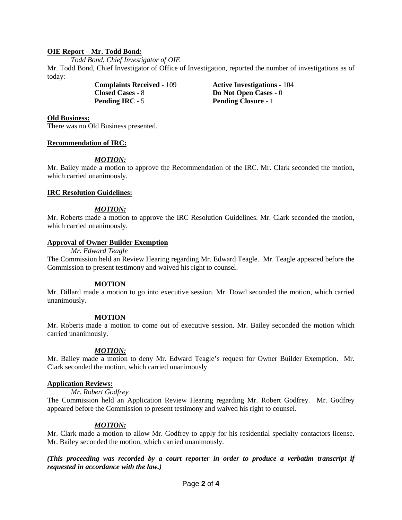# **OIE Report – Mr. Todd Bond:**

*Todd Bond, Chief Investigator of OIE*

Mr. Todd Bond, Chief Investigator of Office of Investigation, reported the number of investigations as of today:

> **Complaints Received -** 109 **Active Investigations -** 104 **Closed Cases -** 8 **Do Not Open Cases -** 0<br>**Pending IRC -** 5 **Pending Closure** - 1

**Pending Closure -** 1

### **Old Business:**

There was no Old Business presented.

# **Recommendation of IRC:**

# *MOTION:*

Mr. Bailey made a motion to approve the Recommendation of the IRC. Mr. Clark seconded the motion, which carried unanimously.

### **IRC Resolution Guidelines:**

# *MOTION:*

Mr. Roberts made a motion to approve the IRC Resolution Guidelines. Mr. Clark seconded the motion, which carried unanimously.

### **Approval of Owner Builder Exemption**

#### *Mr. Edward Teagle*

The Commission held an Review Hearing regarding Mr. Edward Teagle. Mr. Teagle appeared before the Commission to present testimony and waived his right to counsel.

#### **MOTION**

Mr. Dillard made a motion to go into executive session. Mr. Dowd seconded the motion, which carried unanimously.

#### **MOTION**

Mr. Roberts made a motion to come out of executive session. Mr. Bailey seconded the motion which carried unanimously.

# *MOTION:*

Mr. Bailey made a motion to deny Mr. Edward Teagle's request for Owner Builder Exemption. Mr. Clark seconded the motion, which carried unanimously

#### **Application Reviews:**

#### *Mr. Robert Godfrey*

The Commission held an Application Review Hearing regarding Mr. Robert Godfrey. Mr. Godfrey appeared before the Commission to present testimony and waived his right to counsel.

# *MOTION:*

Mr. Clark made a motion to allow Mr. Godfrey to apply for his residential specialty contactors license. Mr. Bailey seconded the motion, which carried unanimously.

*(This proceeding was recorded by a court reporter in order to produce a verbatim transcript if requested in accordance with the law.)*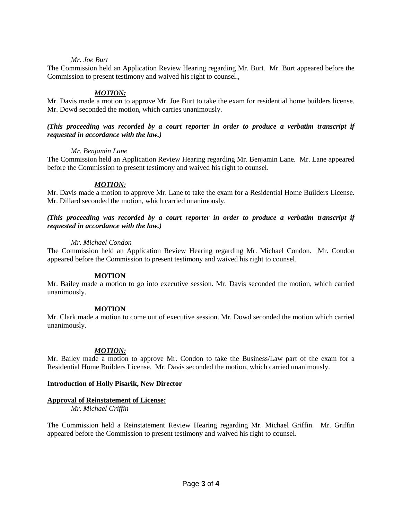### *Mr. Joe Burt*

The Commission held an Application Review Hearing regarding Mr. Burt. Mr. Burt appeared before the Commission to present testimony and waived his right to counsel.,

### *MOTION:*

Mr. Davis made a motion to approve Mr. Joe Burt to take the exam for residential home builders license. Mr. Dowd seconded the motion, which carries unanimously.

# *(This proceeding was recorded by a court reporter in order to produce a verbatim transcript if requested in accordance with the law.)*

### *Mr. Benjamin Lane*

The Commission held an Application Review Hearing regarding Mr. Benjamin Lane. Mr. Lane appeared before the Commission to present testimony and waived his right to counsel.

### *MOTION:*

Mr. Davis made a motion to approve Mr. Lane to take the exam for a Residential Home Builders License. Mr. Dillard seconded the motion, which carried unanimously.

# *(This proceeding was recorded by a court reporter in order to produce a verbatim transcript if requested in accordance with the law.)*

### *Mr. Michael Condon*

The Commission held an Application Review Hearing regarding Mr. Michael Condon. Mr. Condon appeared before the Commission to present testimony and waived his right to counsel.

#### **MOTION**

Mr. Bailey made a motion to go into executive session. Mr. Davis seconded the motion, which carried unanimously.

#### **MOTION**

Mr. Clark made a motion to come out of executive session. Mr. Dowd seconded the motion which carried unanimously.

# *MOTION:*

Mr. Bailey made a motion to approve Mr. Condon to take the Business/Law part of the exam for a Residential Home Builders License. Mr. Davis seconded the motion, which carried unanimously.

#### **Introduction of Holly Pisarik, New Director**

#### **Approval of Reinstatement of License:**

*Mr. Michael Griffin*

The Commission held a Reinstatement Review Hearing regarding Mr. Michael Griffin. Mr. Griffin appeared before the Commission to present testimony and waived his right to counsel.